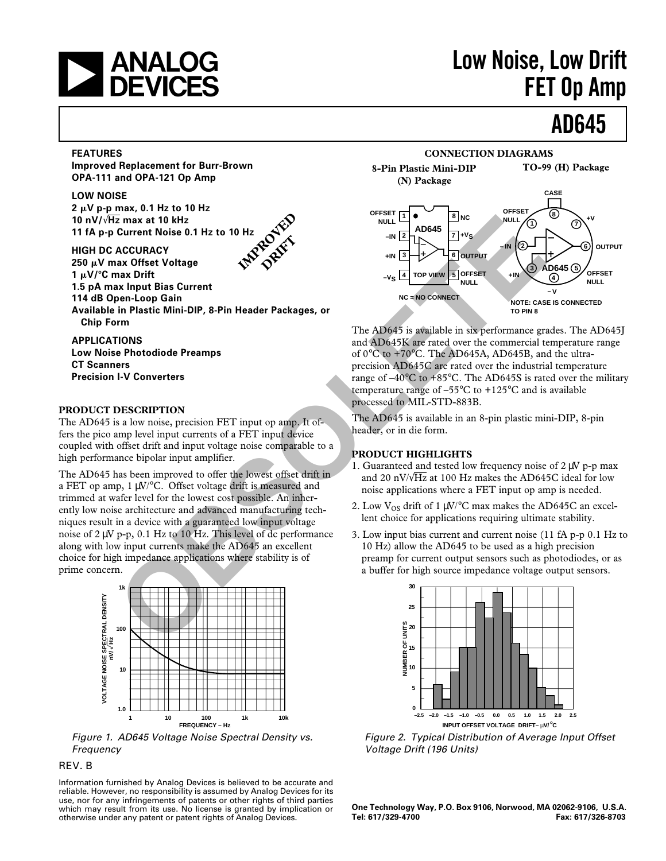

# **ANALOG** Low Noise, Low Drift<br> **DEVICES** FET On Amn **FET Op Amp**

## **AD645**

#### **FEATURES**

**Improved Replacement for Burr-Brown OPA-111 and OPA-121 Op Amp**

#### **LOW NOISE**

**2** m**V p-p max, 0.1 Hz to 10 Hz 10 nV/**√**Hz max at 10 kHz 11 fA p-p Current Noise 0.1 Hz to 10 Hz**

**HIGH DC ACCURACY 250** m**V max Offset Voltage 1**  $\mu$ V/°C max Drift **1.5 pA max Input Bias Current**

**114 dB Open-Loop Gain**

**Available in Plastic Mini-DIP, 8-Pin Header Packages, or Chip Form**

**IMPROVED POIET** 

#### **APPLICATIONS Low Noise Photodiode Preamps CT Scanners Precision I-V Converters**

#### **PRODUCT DESCRIPTION**

The AD645 is a low noise, precision FET input op amp. It offers the pico amp level input currents of a FET input device coupled with offset drift and input voltage noise comparable to a high performance bipolar input amplifier.

The AD645 has been improved to offer the lowest offset drift in a FET op amp, 1 µV/°C. Offset voltage drift is measured and trimmed at wafer level for the lowest cost possible. An inherently low noise architecture and advanced manufacturing techniques result in a device with a guaranteed low input voltage noise of 2 µV p-p, 0.1 Hz to 10 Hz. This level of dc performance along with low input currents make the AD645 an excellent choice for high impedance applications where stability is of prime concern. **CONSIDENTIES And to the set of the set of the set of the set of the set of the set of the set of the set of the set of the set of the set of the set of the set of the set of the set of the set of the set of the set of th** 



Figure 1. AD645 Voltage Noise Spectral Density vs. Frequency

#### REV. B

Information furnished by Analog Devices is believed to be accurate and reliable. However, no responsibility is assumed by Analog Devices for its use, nor for any infringements of patents or other rights of third parties which may result from its use. No license is granted by implication or otherwise under any patent or patent rights of Analog Devices.



The AD645 is available in six performance grades. The AD645J and AD645K are rated over the commercial temperature range of 0°C to +70°C. The AD645A, AD645B, and the ultraprecision AD645C are rated over the industrial temperature range of –40°C to +85°C. The AD645S is rated over the military temperature range of –55°C to +125°C and is available processed to MIL-STD-883B.

The AD645 is available in an 8-pin plastic mini-DIP, 8-pin header, or in die form.

#### **PRODUCT HIGHLIGHTS**

- 1. Guaranteed and tested low frequency noise of  $2 \mu V$  p-p max and 20 nV/ $\sqrt{Hz}$  at 100 Hz makes the AD645C ideal for low noise applications where a FET input op amp is needed.
- 2. Low  $V_{OS}$  drift of 1  $\mu$ V/°C max makes the AD645C an excellent choice for applications requiring ultimate stability.
- 3. Low input bias current and current noise (11 fA p-p 0.1 Hz to 10 Hz) allow the AD645 to be used as a high precision preamp for current output sensors such as photodiodes, or as a buffer for high source impedance voltage output sensors.



Figure 2. Typical Distribution of Average Input Offset Voltage Drift (196 Units)

**One Technology Way, P.O. Box 9106, Norwood, MA 02062-9106, U.S.A. Tel: 617/329-4700 Fax: 617/326-8703**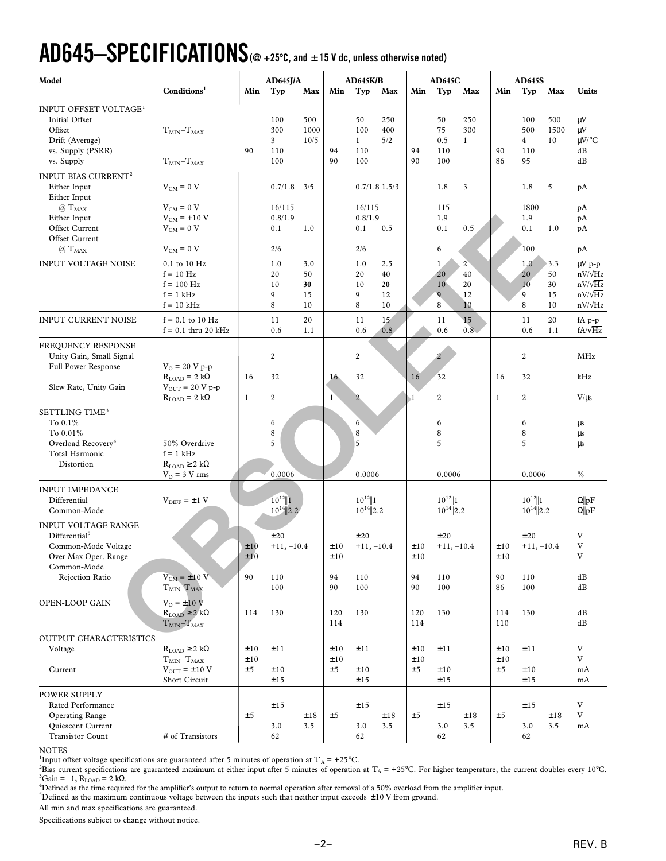# **AD645–SPECIFICATIONS (@ +25**8**C, and** 6**15 V dc, unless otherwise noted)**

|                                                                            |                                                                                                                                   |                                          |                                                       |                                                   |                                         |                                           |                                                                                                                             |                                      |                                                 |                                                                                   |                                           |                                           | Units                                                                               |
|----------------------------------------------------------------------------|-----------------------------------------------------------------------------------------------------------------------------------|------------------------------------------|-------------------------------------------------------|---------------------------------------------------|-----------------------------------------|-------------------------------------------|-----------------------------------------------------------------------------------------------------------------------------|--------------------------------------|-------------------------------------------------|-----------------------------------------------------------------------------------|-------------------------------------------|-------------------------------------------|-------------------------------------------------------------------------------------|
| $T_{MIN} - T_{MAX}$<br>$T_{MIN} - T_{MAX}$                                 | 90                                                                                                                                | 100<br>300<br>$\mathbf{3}$<br>110<br>100 | 500<br>1000<br>10/5                                   | 94<br>90                                          | 50<br>100<br>$\mathbf{1}$<br>110<br>100 | 250<br>400<br>5/2                         | 94<br>90                                                                                                                    | 50<br>75<br>0.5<br>110<br>100        | 250<br>300<br>$\mathbf{1}$                      | 90<br>86                                                                          | 100<br>500<br>$\overline{4}$<br>110<br>95 | 500<br>1500<br>10                         | $\mu V$<br>μV<br>$\mu$ V/°C<br>dB<br>dB                                             |
|                                                                            |                                                                                                                                   |                                          |                                                       |                                                   |                                         |                                           |                                                                                                                             |                                      |                                                 |                                                                                   |                                           |                                           |                                                                                     |
| $V_{CM} = 0 V$<br>$V_{CM} = 0 V$<br>$V_{CM}$ = +10 V<br>$V_{CM} = 0 V$     |                                                                                                                                   | 0.7/1.8<br>16/115<br>0.8/1.9<br>0.1      | 3/5<br>1.0                                            |                                                   | 0.1                                     | 0.5                                       |                                                                                                                             | 1.8<br>115<br>1.9<br>0.1             | 3<br>0.5                                        |                                                                                   | 1.8<br>1800<br>1.9<br>0.1                 | 5<br>1.0                                  | pA<br>pA<br>pA<br>pA                                                                |
|                                                                            |                                                                                                                                   |                                          |                                                       |                                                   |                                         |                                           |                                                                                                                             |                                      |                                                 |                                                                                   |                                           |                                           | pA                                                                                  |
| 0.1 to 10 Hz<br>$f = 10 Hz$<br>$f = 100$ Hz<br>$f = 1$ kHz<br>$f = 10$ kHz |                                                                                                                                   | 1.0<br>20<br>10<br>9<br>8                | 3.0<br>50<br>30<br>15<br>10                           |                                                   | 1.0<br>20<br>10<br>9<br>8               | 2.5<br>40<br>20<br>12<br>10               |                                                                                                                             | 1<br>20<br>10<br>$\overline{9}$<br>8 | $\overline{2}$<br>40<br>20<br>12<br>10          |                                                                                   | 1.0<br>20<br>10<br>9<br>8                 | 3.3<br>50<br>30<br>15<br>10               | $\mu V$ p-p<br>$nV/\sqrt{Hz}$<br>$nV/\sqrt{Hz}$<br>$nV/\sqrt{Hz}$<br>$nV/\sqrt{Hz}$ |
| $f = 0.1$ to 10 Hz<br>$f = 0.1$ thru 20 kHz                                |                                                                                                                                   | 11<br>0.6                                | 20<br>1.1                                             |                                                   | 11<br>0.6                               | 15 <sub>1</sub><br>0.8                    |                                                                                                                             | 11<br>0.6                            | 15<br>$0.\overline{8}$                          |                                                                                   | 11<br>0.6                                 | 20<br>1.1                                 | $fA p-p$<br>$fA/\sqrt{Hz}$                                                          |
| $V_0 = 20 V p - p$                                                         |                                                                                                                                   | 2                                        |                                                       |                                                   | 2                                       |                                           |                                                                                                                             | $\overline{2}$                       |                                                 |                                                                                   | $\boldsymbol{2}$                          |                                           | MHz                                                                                 |
| $V_{OUT}$ = 20 V p-p                                                       |                                                                                                                                   |                                          |                                                       |                                                   |                                         |                                           |                                                                                                                             |                                      |                                                 |                                                                                   |                                           |                                           | kHz<br>$V/\mu s$                                                                    |
| 50% Overdrive<br>$f = 1$ kHz<br>$R_{LOAD} \geq 2 k\Omega$                  |                                                                                                                                   | 6<br>8<br>5                              |                                                       |                                                   | 6<br>8<br>5                             |                                           |                                                                                                                             | 6<br>$\,$ 8 $\,$<br>5                |                                                 |                                                                                   | 6<br>$\,$ 8 $\,$<br>5                     |                                           | μs<br>μs<br>μs<br>$\%$                                                              |
| $V_{\text{DIFF}} = \pm 1$ V                                                |                                                                                                                                   | $10^{12}$   1                            |                                                       |                                                   |                                         |                                           |                                                                                                                             |                                      |                                                 |                                                                                   |                                           |                                           | $\Omega$   pF<br>$\Omega$   pF                                                      |
| $V_{CM} = \pm 10 V$                                                        | ±10<br>±10<br>90                                                                                                                  | ±20<br>110                               |                                                       | ±10<br>±10<br>94                                  | ±20<br>110                              |                                           | ±10<br>94                                                                                                                   | ±20<br>110                           |                                                 | ±10<br>$\pm 10$<br>90                                                             | ±20<br>110                                |                                           | V<br>V<br>$\ensuremath{\mathbf{V}}$<br>dB                                           |
| $T_{MIN}$ $T_{MAX}$                                                        |                                                                                                                                   | 100                                      |                                                       | 90                                                | 100                                     |                                           | 90                                                                                                                          | 100                                  |                                                 | 86                                                                                | 100                                       |                                           | dB                                                                                  |
| $V_0 = \pm 10 V$<br>$R_{LOAD} \geq 2 k\Omega$<br>$T_{MIN} - T_{MAX}$       | 114                                                                                                                               | 130                                      |                                                       | 120<br>114                                        | 130                                     |                                           | 120<br>114                                                                                                                  | 130                                  |                                                 | 114<br>110                                                                        | 130                                       |                                           | dB<br>dB                                                                            |
|                                                                            |                                                                                                                                   |                                          |                                                       |                                                   |                                         |                                           |                                                                                                                             |                                      |                                                 |                                                                                   |                                           |                                           |                                                                                     |
| $R_{LOAD} \geq 2 k\Omega$<br>$TMIN-TMAX$<br>$V_{OUT} = \pm 10 V$           | ±10<br>$\pm 10$<br>±5                                                                                                             | ±11<br>±10                               |                                                       | ±10<br>±10<br>±5                                  | ±11<br>±10                              |                                           | ±10<br>±10<br>±5                                                                                                            | ±11<br>±10                           |                                                 | ±10<br>±10<br>±5                                                                  | ±11<br>±10                                |                                           | $\mathbf{V}$<br>V<br>mA<br>mA                                                       |
|                                                                            |                                                                                                                                   |                                          |                                                       |                                                   |                                         |                                           |                                                                                                                             |                                      |                                                 |                                                                                   |                                           |                                           |                                                                                     |
| # of Transistors                                                           | ±5                                                                                                                                | ±15<br>3.0<br>62                         | ±18<br>3.5                                            | ±5                                                | ±15<br>3.0<br>62                        | ±18<br>3.5                                | ±5                                                                                                                          | ±15<br>3.0<br>62                     | ±18<br>3.5                                      | ±5                                                                                | ±15<br>3.0<br>62                          | ±18<br>3.5                                | V<br>V<br>mA                                                                        |
|                                                                            | Conditions <sup>1</sup><br>$V_{CM} = 0 V$<br>$R_{LOAD} = 2 k\Omega$<br>$R_{LOAD} = 2 k\Omega$<br>$V_0$ = 3 V rms<br>Short Circuit | Min<br>16<br>1                           | Typ<br>2/6<br>32<br>$\boldsymbol{2}$<br>0.0006<br>±15 | AD645J/A<br>Max<br>$10^{14}$  2.2<br>$+11, -10.4$ | Min<br>16 <sub>2</sub><br>1             | Typ<br>2/6<br>32<br>$\overline{2}$<br>±15 | <b>AD645K/B</b><br>Max<br>$0.7/1.8$ 1.5/3<br>16/115<br>0.8/1.9<br>0.0006<br>$10^{12}$   1<br>$10^{14}$  2.2<br>$+11, -10.4$ | Min<br>16<br>$\mathbf{1}$            | Typ<br>6<br>32<br>$\sqrt{2}$<br>$\pm 10$<br>±15 | <b>AD645C</b><br>Max<br>0.0006<br>$10^{12}$   1<br>$10^{14}$  2.2<br>$+11, -10.4$ | Min<br>16<br>$\mathbf{1}$                 | Typ<br>100<br>32<br>$\overline{c}$<br>±15 | <b>AD645S</b><br>Max<br>0.0006<br>$10^{12}$   1<br>$10^{14}$  2.2<br>$+11, -10.4$   |

NOTES

<sup>1</sup>Input offset voltage specifications are guaranteed after 5 minutes of operation at  $T_A = +25^{\circ}$ C.

<sup>2</sup>Bias current specifications are guaranteed maximum at either input after 5 minutes of operation at T<sub>A</sub> = +25°C. For higher temperature, the current doubles every 10°C.  ${}^3$ Gain = –1, R<sub>LOAD</sub> = 2 kΩ.

"Defined as the time required for the amplifier's output to return to normal operation after removal of a 50% overload from the amplifier input.<br><sup>5</sup>Defined as the maximum continuous voltage between the inputs such that nei

All min and max specifications are guaranteed.

Specifications subject to change without notice.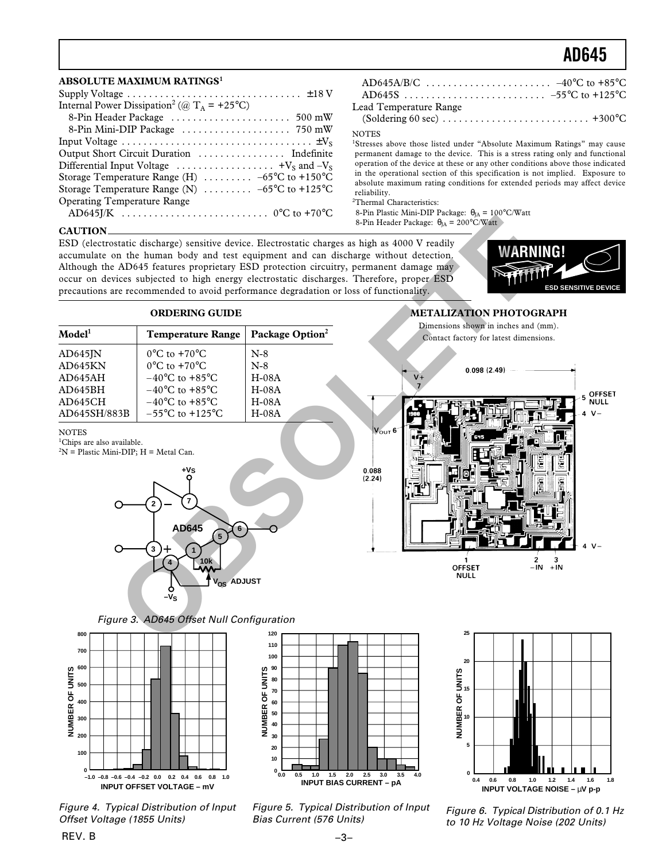### **AD645**

#### **ABSOLUTE MAXIMUM RATINGS<sup>1</sup>**

| Supply Voltage $\dots \dots \dots \dots \dots \dots \dots \dots \dots \dots \dots \pm 18$ V                |
|------------------------------------------------------------------------------------------------------------|
| Internal Power Dissipation <sup>2</sup> (@ T <sub>A</sub> = +25 <sup>°</sup> C)                            |
|                                                                                                            |
|                                                                                                            |
|                                                                                                            |
|                                                                                                            |
| Differential Input Voltage $\dots \dots \dots \dots \dots \dots \dots$ +V <sub>s</sub> and -V <sub>s</sub> |
| Storage Temperature Range (H) $\ldots \ldots \ldots -65$ °C to +150°C                                      |
| Storage Temperature Range (N) $\ldots \ldots \ldots -65$ °C to +125°C                                      |
| <b>Operating Temperature Range</b>                                                                         |
|                                                                                                            |

| $\mathbf{1}$ |  |
|--------------|--|

#### Lead Temperature Range

(Soldering 60 sec) . . . . . . . . . . . . . . . . . . . . . . . . . . . +300°C

**NOTES** 

<sup>1</sup>Stresses above those listed under "Absolute Maximum Ratings" may cause permanent damage to the device. This is a stress rating only and functional operation of the device at these or any other conditions above those indicated in the operational section of this specification is not implied. Exposure to absolute maximum rating conditions for extended periods may affect device reliability.

2 Thermal Characteristics:

8-Pin Plastic Mini-DIP Package:  $\theta_{IA} = 100^{\circ}$ C/Watt 8-Pin Header Package:  $\theta_{JA} = 200^{\circ} \text{C/Watt}$ 

#### **CAUTION**

**NOTES** 

<sup>1</sup>Chips are also available.

 $2N =$  Plastic Mini-DIP; H = Metal Can.

ESD (electrostatic discharge) sensitive device. Electrostatic charges as high as 4000 V readily accumulate on the human body and test equipment and can discharge without detection. Although the AD645 features proprietary ESD protection circuitry, permanent damage may occur on devices subjected to high energy electrostatic discharges. Therefore, proper ESD precautions are recommended to avoid performance degradation or loss of functionality.



#### **ORDERING GUIDE**

| $\bf{Model}^1$ | <b>Temperature Range</b>            | Package Option <sup>2</sup> |
|----------------|-------------------------------------|-----------------------------|
| AD645IN        | $0^{\circ}$ C to $+70^{\circ}$ C    | $N-8$                       |
| AD645KN        | $0^{\circ}$ C to +70 $^{\circ}$ C   | $N-8$                       |
| AD645AH        | $-40^{\circ}$ C to $+85^{\circ}$ C  | $H-08A$                     |
| AD645BH        | $-40^{\circ}$ C to $+85^{\circ}$ C  | $H-08A$                     |
| AD645CH        | $-40^{\circ}$ C to $+85^{\circ}$ C  | $H-08A$                     |
| AD645SH/883B   | $-55^{\circ}$ C to $+125^{\circ}$ C | $H-08A$                     |

#### **METALIZATION PHOTOGRAPH** Dimensions shown in inches and (mm).



Figure 3. AD645 Offset Null Configuration

**10k**

**5**

**6**

 $V_{OS}$  **ADJUST** 

**AD645**

**7 2**

**–VS**

**4**

**+VS**

**1**



**3**

Figure 4. Typical Distribution of Input Offset Voltage (1855 Units)





Figure 5. Typical Distribution of Input Bias Current (576 Units)

Figure 6. Typical Distribution of 0.1 Hz to 10 Hz Voltage Noise (202 Units)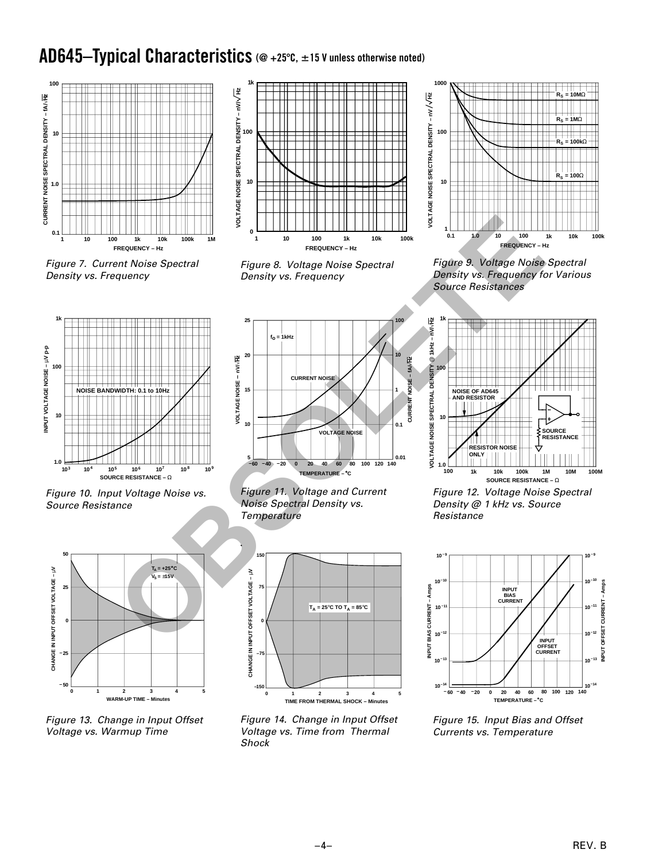### AD645-Typical Characteristics (@ +25°C, ±15 V unless otherwise noted)



Figure 7. Current Noise Spectral Density vs. Frequency



Figure 8. Voltage Noise Spectral Density vs. Frequency



Figure 9. Voltage Noise Spectral Density vs. Frequency for Various Source Resistances



Figure 10. Input Voltage Noise vs. Source Resistance



Figure 13. Change in Input Offset Voltage vs. Warmup Time







Figure 14. Change in Input Offset Voltage vs. Time from Thermal **Shock** 



Figure 12. Voltage Noise Spectral Density @ 1 kHz vs. Source Resistance



Figure 15. Input Bias and Offset Currents vs. Temperature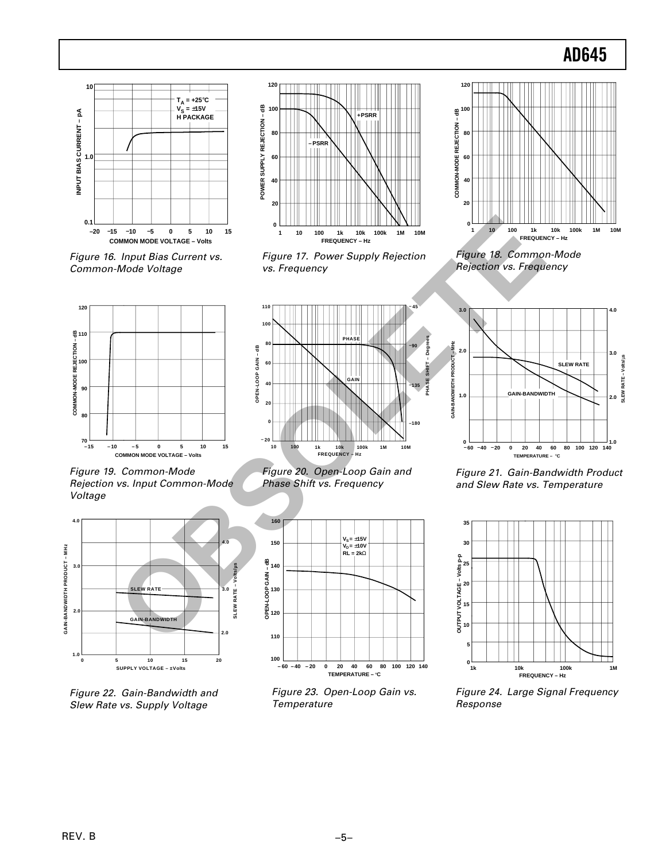### **AD645**



Figure 16. Input Bias Current vs. Common-Mode Voltage



Figure 17. Power Supply Rejection vs. Frequency



Figure 18. Common-Mode Rejection vs. Frequency



**100 1k 10k 100k FREQUENCY – Hz 1M 10M OPEN-LOOP GAIN – dB PHASE SHIFT – Degrees 10 0 20 40 60 80 100 110 – 20 – 45 –90 –135 –180 GAIN PHASE**  $\frac{5}{2}$ <br>  $\frac{1}{2}$ <br>  $\frac{1}{2}$ <br>  $\frac{1}{2}$ <br>  $\frac{1}{2}$ <br>  $\frac{1}{2}$ <br>  $\frac{1}{2}$ <br>  $\frac{1}{2}$ <br>  $\frac{1}{2}$ <br>  $\frac{1}{2}$ <br>  $\frac{1}{2}$ <br>  $\frac{1}{2}$ <br>  $\frac{1}{2}$ <br>  $\frac{1}{2}$ <br>  $\frac{1}{2}$ <br>  $\frac{1}{2}$ <br>  $\frac{1}{2}$ <br>  $\frac{1}{2}$ <br>  $\frac{1}{2}$ <br>  $\frac{1}{2}$ <br>





Figure 23. Open-Loop Gain vs. **Temperature** 



Figure 21. Gain-Bandwidth Product and Slew Rate vs. Temperature



Figure 24. Large Signal Frequency Response

Figure 19. Common-Mode Rejection vs. Input Common-Mode Voltage



Figure 22. Gain-Bandwidth and Slew Rate vs. Supply Voltage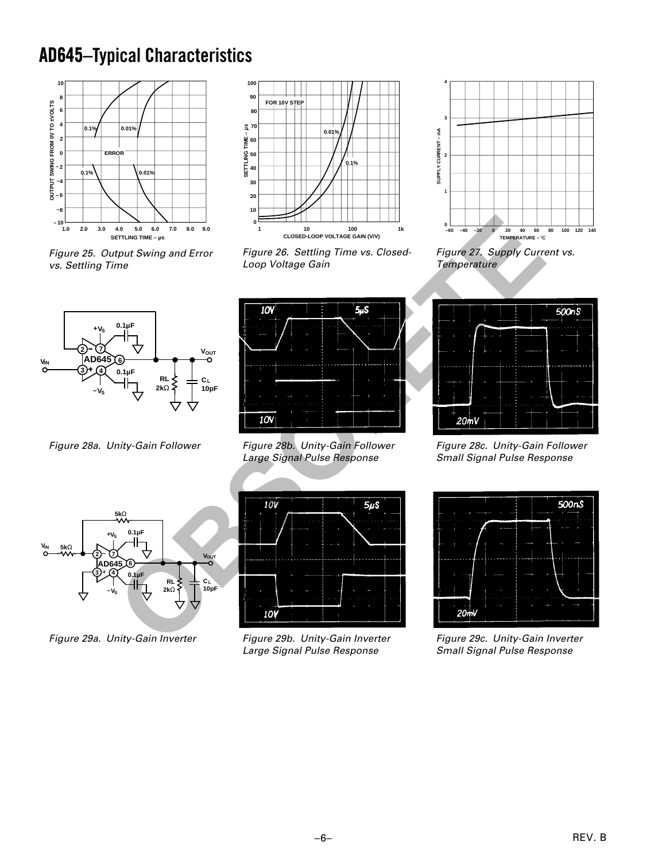### **AD645 AD645–Typical Characteristics**



Figure 25. Output Swing and Error vs. Settling Time



Figure 26. Settling Time vs. Closed-Loop Voltage Gain



Figure 27. Supply Current vs. **Temperature** 



Figure 28a. Unity-Gain Follower



Figure 28b. Unity-Gain Follower Large Signal Pulse Response



Figure 28c. Unity-Gain Follower Small Signal Pulse Response



Figure 29a. Unity-Gain Inverter



Figure 29b. Unity-Gain Inverter Large Signal Pulse Response



Figure 29c. Unity-Gain Inverter Small Signal Pulse Response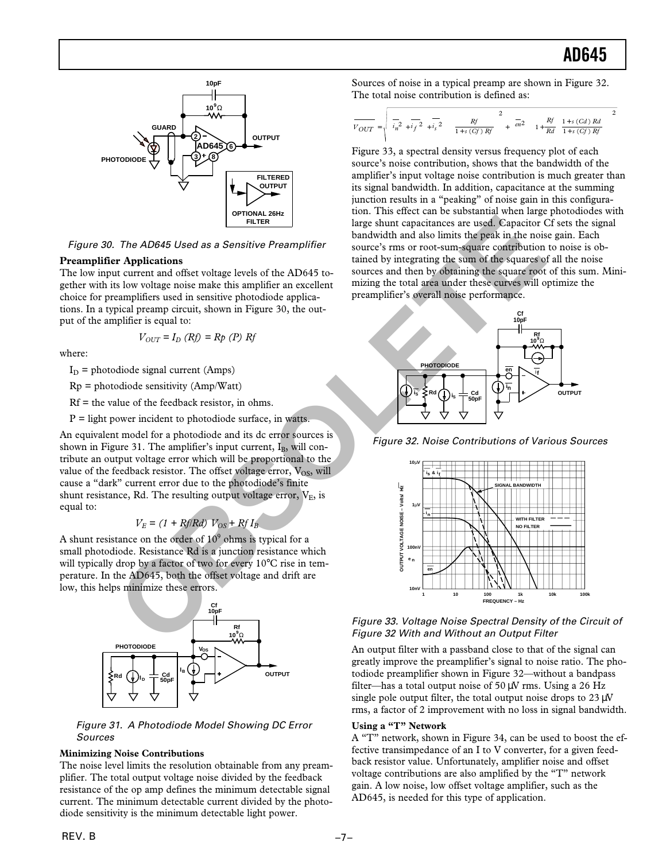

Figure 30. The AD645 Used as a Sensitive Preamplifier

#### **Preamplifier Applications**

The low input current and offset voltage levels of the AD645 together with its low voltage noise make this amplifier an excellent choice for preamplifiers used in sensitive photodiode applications. In a typical preamp circuit, shown in Figure 30, the output of the amplifier is equal to:

$$
V_{OUT} = I_D \ (Rf) = Rp \ (P) \ Rf
$$

where:

 $I_D$  = photodiode signal current (Amps)

 $Rp = photodiode sensitivity (Amp/Watt)$ 

 $Rf =$  the value of the feedback resistor, in ohms.

 $P =$  light power incident to photodiode surface, in watts.

An equivalent model for a photodiode and its dc error sources is shown in Figure 31. The amplifier's input current,  $I_B$ , will contribute an output voltage error which will be proportional to the value of the feedback resistor. The offset voltage error,  $V_{OS}$ , will cause a "dark" current error due to the photodiode's finite shunt resistance, Rd. The resulting output voltage error,  $V_E$ , is equal to:

$$
V_E = (1 + Rf/Rd) V_{OS} + RfI_B
$$

A shunt resistance on the order of  $10<sup>9</sup>$  ohms is typical for a small photodiode. Resistance Rd is a junction resistance which will typically drop by a factor of two for every 10°C rise in temperature. In the AD645, both the offset voltage and drift are low, this helps minimize these errors.



Figure 31. A Photodiode Model Showing DC Error Sources

#### **Minimizing Noise Contributions**

The noise level limits the resolution obtainable from any preamplifier. The total output voltage noise divided by the feedback resistance of the op amp defines the minimum detectable signal current. The minimum detectable current divided by the photodiode sensitivity is the minimum detectable light power.

Sources of noise in a typical preamp are shown in Figure 32. The total noise contribution is defined as:

$$
\overline{V_{OUT}} = \sqrt{ \left( \overline{i_n^2} + \overline{i_f^2} + \overline{i_s^2} \right) \left( \frac{Rf}{1 + s\ (Cf)\ Rf} \right)^2 + \left( \overline{en^2} \right) \left( 1 + \frac{Rf}{Rd} \left( \frac{1 + s\ (Cd)\ Rd}{1 + s\ (Cf)\ Rf} \right) \right)^2}
$$

Figure 33, a spectral density versus frequency plot of each source's noise contribution, shows that the bandwidth of the amplifier's input voltage noise contribution is much greater than its signal bandwidth. In addition, capacitance at the summing junction results in a "peaking" of noise gain in this configuration. This effect can be substantial when large photodiodes with large shunt capacitances are used. Capacitor Cf sets the signal bandwidth and also limits the peak in the noise gain. Each source's rms or root-sum-square contribution to noise is obtained by integrating the sum of the squares of all the noise sources and then by obtaining the square root of this sum. Minimizing the total area under these curves will optimize the preamplifier's overall noise performance.



Figure 32. Noise Contributions of Various Sources



Figure 33. Voltage Noise Spectral Density of the Circuit of Figure 32 With and Without an Output Filter

An output filter with a passband close to that of the signal can greatly improve the preamplifier's signal to noise ratio. The photodiode preamplifier shown in Figure 32—without a bandpass filter—has a total output noise of  $50 \mu$ V rms. Using a 26 Hz single pole output filter, the total output noise drops to 23 uV rms, a factor of 2 improvement with no loss in signal bandwidth.

#### **Using a "T" Network**

A "T" network, shown in Figure 34, can be used to boost the effective transimpedance of an I to V converter, for a given feedback resistor value. Unfortunately, amplifier noise and offset voltage contributions are also amplified by the "T" network gain. A low noise, low offset voltage amplifier, such as the AD645, is needed for this type of application.